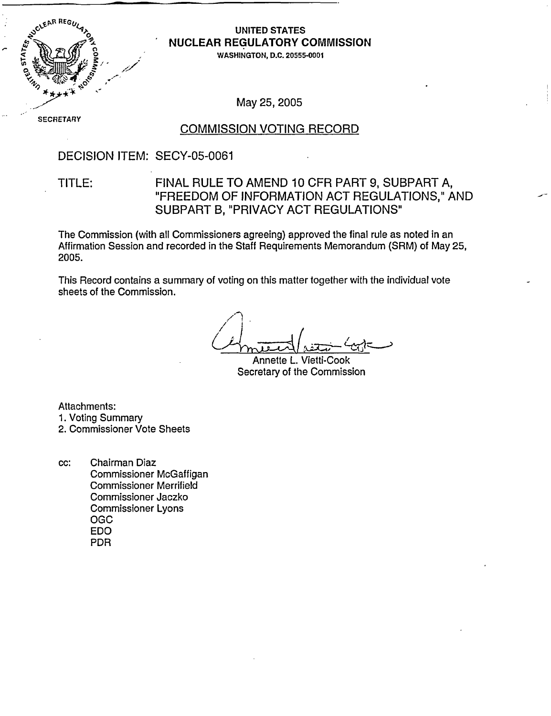

### UNITED STATES - NUCLEAR REGULATORY **COMMISSION**

WASHINGTON, D.C. 20555-0001

May 25, 2005

SECRETARY

#### COMMISSION VOTING RECORD

#### DECISION ITEM: SECY-05-0061

### TITLE: FINAL RULE TO AMEND 10 CFR PART 9, SUBPART A, "FREEDOM OF INFORMATION ACT REGULATIONS," AND SUBPART B, "PRIVACY ACT REGULATIONS"

The Commission (with all Commissioners agreeing) approved the final rule as noted in an Affirmation Session and recorded in the Staff Requirements Memorandum (SRM) of May 25, 2005.

This Record contains a summary of voting on this matter together with the individual vote sheets of the Commission.

 $\curvearrowleft$ 

Annette L. Vietti-Cook Secretary of the Commission

Attachments:

- 1. Voting Summary
- 2. Commissioner Vote Sheets
- cc: Chairman Diaz Commissioner McGaffigan Commissioner Merrifield Commissioner Jaczko Commissioner Lyons OGC EDO PDR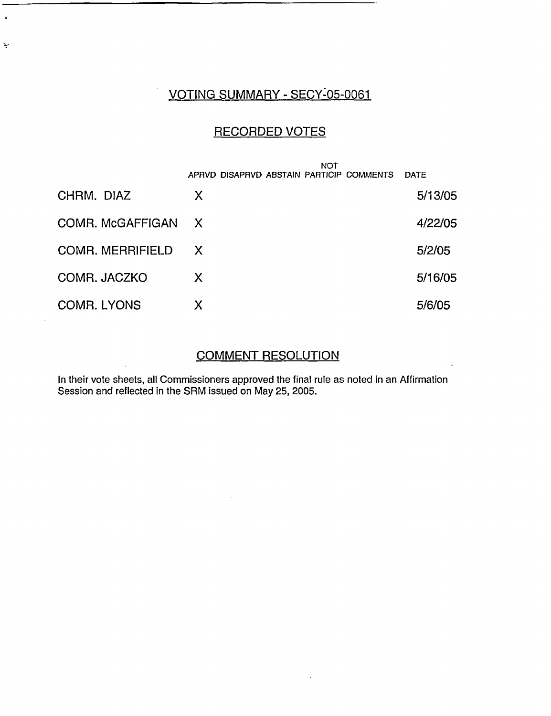# VOTING SUMMARY - SECY:05-0061

 $\ddot{\bullet}$ 

 $\ddot{\mathbf{v}}$ 

## RECORDED VOTES

|                         | <b>NOT</b>                               |             |  |
|-------------------------|------------------------------------------|-------------|--|
|                         | APRVD DISAPRVD ABSTAIN PARTICIP COMMENTS | <b>DATE</b> |  |
| CHRM. DIAZ              | X                                        | 5/13/05     |  |
| COMR. McGAFFIGAN        | $\mathsf{X}$                             | 4/22/05     |  |
| <b>COMR. MERRIFIELD</b> | X                                        | 5/2/05      |  |
| COMR. JACZKO            | X                                        | 5/16/05     |  |
| COMB. LYONS             | X                                        | 5/6/05      |  |

#### COMMENT RESOLUTION

In their vote sheets, all Commissioners approved the final rule as noted in an Affirmation Session and reflected in the SRM issued on May 25, 2005.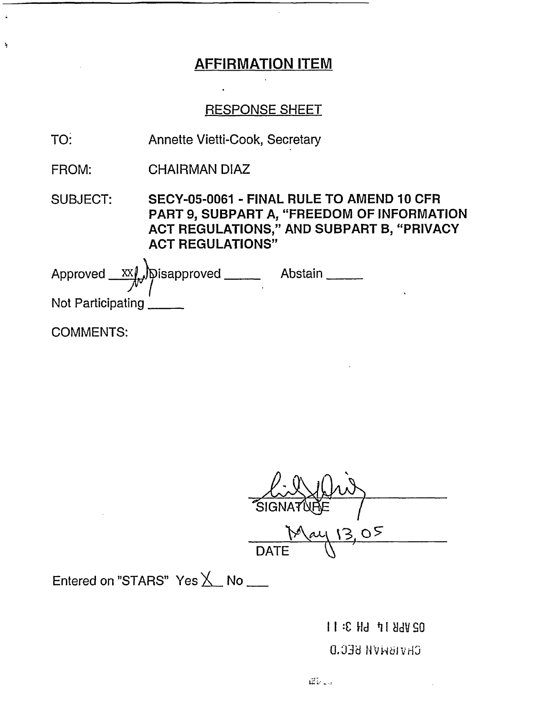### RESPONSE SHEET

- TO: Annette Vietti-Cook, Secretary
- FROM: CHAIRMAN DIAZ

## SUBJECT: SECY-05-0061 - FINAL RULE TO AMEND 10 CFR PART 9, SUBPART A, "FREEDOM OF INFORMATION ACT REGULATIONS," AND SUBPART B, "PRIVACY ACT REGULATIONS"

Approved XXI, Disapproved \_\_\_\_\_\_ Abstain Not Participating

COMMENTS:

 $\ddot{\phantom{a}}$ 

SIGNA DATE<sup></sup>

Entered on "STARS" Yes  $X$  No  $\_\_$ 

I I :C **Wud** <sup>8</sup>**I** Ndv SO

### CHVIBNVH BEC.D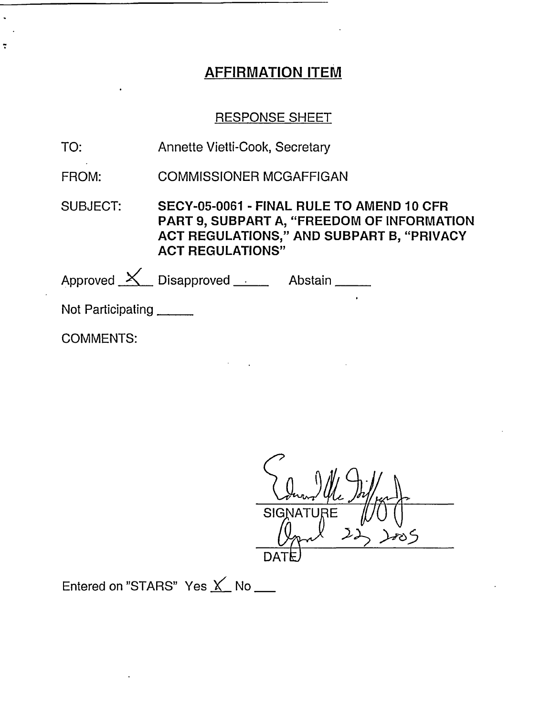#### RESPONSE SHEET

| TO: | Annette Vietti-Cook, Secretary |
|-----|--------------------------------|
|-----|--------------------------------|

FROM: COMMISSIONER MCGAFFIGAN

SUBJECT: SECY-05-0061 - FINAL RULE TO AMEND 10 CFR PART 9, SUBPART A, "FREEDOM OF INFORMATION ACT REGULATIONS," AND SUBPART B, "PRIVACY ACT **REGULATIONS"**

Approved X Disapproved Abstain Not Participating

COMMENTS:

 $\ddot{z}$ 

SIGN **>',** 5 DAT $\mathsf E$ 

Entered on "STARS" Yes  $\underline{\mathsf{X}}$  No  $\underline{\phantom{X}}$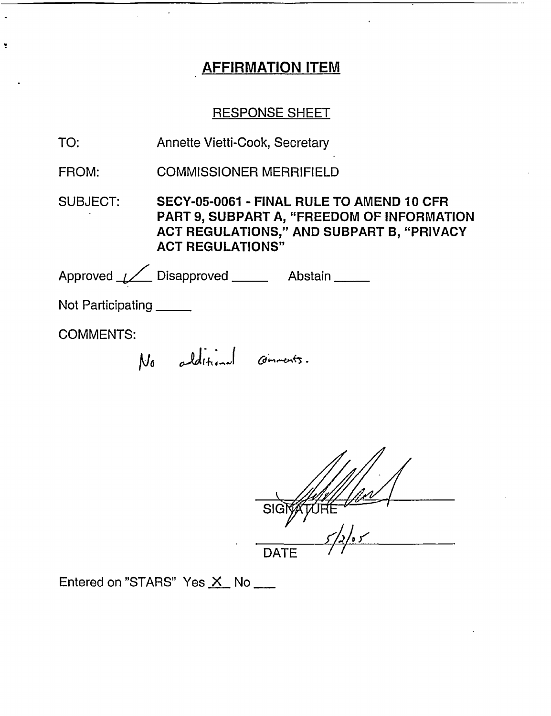### RESPONSE SHEET

| TO: | Annette Vietti-Cook, Secretary |  |
|-----|--------------------------------|--|
|     |                                |  |

FROM: COMMISSIONER MERRIFIELD

SUBJECT: SECY-05-0061 - FINAL RULE TO AMEND 10 CFR PART 9, SUBPART A, "FREEDOM OF INFORMATION ACT REGULATIONS," AND SUBPART B, "PRIVACY ACT REGULATIONS"

Approved \_\_*\_\_*\_\_ Disapproved \_\_\_\_\_\_ Abstair Not Participating

COMMENTS:

ÿ

No additional comments.

**SIGT** DATE

Entered on "STARS" Yes  $X$  No  $\_\_\_\_\$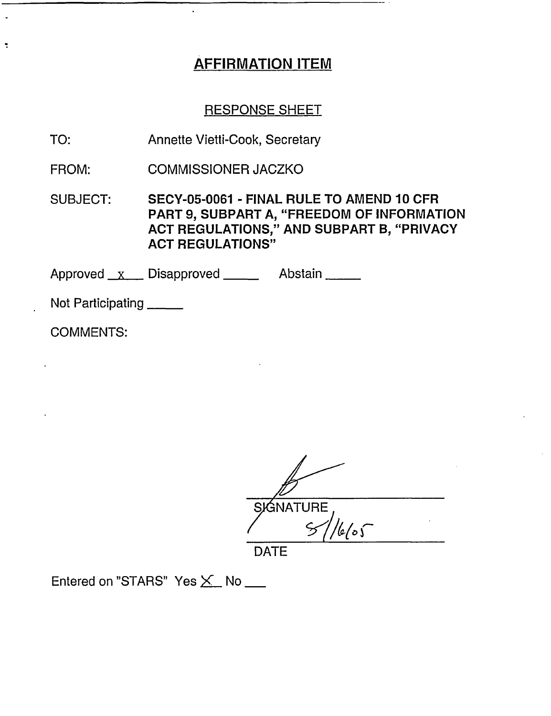#### RESPONSE SHEET

TO: Annette Vietti-Cook, Secretary

FROM: COMMISSIONER JACZKO

SUBJECT: SECY-05-0061 - FINAL RULE TO AMEND 10 CFR PART 9, SUBPART A, "FREEDOM OF INFORMATION ACT REGULATIONS," AND SUBPART B, "PRIVACY ACT REGULATIONS"

Approved x Disapproved Abstain

Not Participating \_\_\_\_

COMMENTS:

 $\ddot{\phantom{0}}$ 

SIGNATURE  $\frac{1}{665}$ 

DATE

Entered on "STARS" Yes X No \_\_